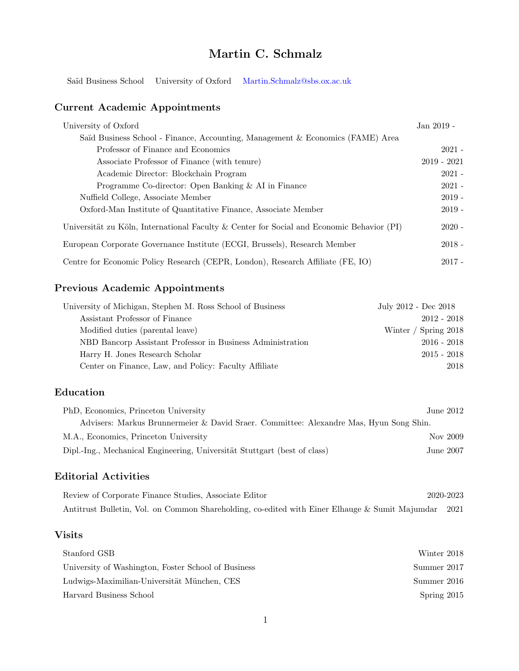# Martin C. Schmalz

Saïd Business School University of Oxford [Martin.Schmalz@sbs.ox.ac.uk](mailto:Martin.Schmalz@sbs.ox.ac.uk)

# Current Academic Appointments

| University of Oxford                                                                      | Jan 2019 -    |
|-------------------------------------------------------------------------------------------|---------------|
| Saïd Business School - Finance, Accounting, Management & Economics (FAME) Area            |               |
| Professor of Finance and Economics                                                        | $2021 -$      |
| Associate Professor of Finance (with tenure)                                              | $2019 - 2021$ |
| Academic Director: Blockchain Program                                                     | $2021 -$      |
| Programme Co-director: Open Banking & AI in Finance                                       | $2021 -$      |
| Nuffield College, Associate Member                                                        | $2019 -$      |
| Oxford-Man Institute of Quantitative Finance, Associate Member                            | $2019 -$      |
| Universität zu Köln, International Faculty & Center for Social and Economic Behavior (PI) | $2020 -$      |
| European Corporate Governance Institute (ECGI, Brussels), Research Member                 | $2018 -$      |
| Centre for Economic Policy Research (CEPR, London), Research Affiliate (FE, IO)           | $2017 -$      |

# Previous Academic Appointments

| University of Michigan, Stephen M. Ross School of Business | July 2012 - Dec 2018 |
|------------------------------------------------------------|----------------------|
| Assistant Professor of Finance                             | $2012 - 2018$        |
| Modified duties (parental leave)                           | Winter / Spring 2018 |
| NBD Bancorp Assistant Professor in Business Administration | $2016 - 2018$        |
| Harry H. Jones Research Scholar                            | $2015 - 2018$        |
| Center on Finance, Law, and Policy: Faculty Affiliate      | 2018                 |

# Education

| PhD, Economics, Princeton University                                                   | June $2012$ |
|----------------------------------------------------------------------------------------|-------------|
| Advisers: Markus Brunnermeier & David Staer. Committee: Alexandre Mas, Hyun Song Shin. |             |
| M.A., Economics, Princeton University                                                  | Nov 2009    |
| Dipl.-Ing., Mechanical Engineering, Universität Stuttgart (best of class)              | June $2007$ |

# Editorial Activities

Review of Corporate Finance Studies, Associate Editor 2020-2023 Antitrust Bulletin, Vol. on Common Shareholding, co-edited with Einer Elhauge & Sumit Majumdar 2021

## Visits

| Stanford GSB                                        | Winter 2018 |
|-----------------------------------------------------|-------------|
| University of Washington, Foster School of Business | Summer 2017 |
| Ludwigs-Maximilian-Universität München, CES         | Summer 2016 |
| Harvard Business School                             | Spring 2015 |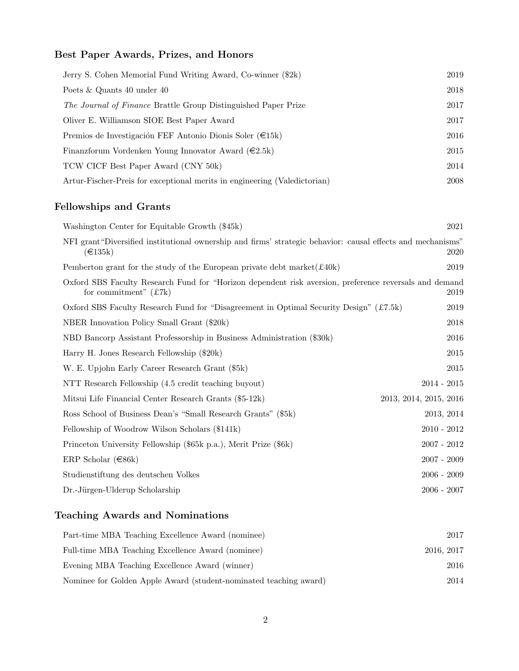# Best Paper Awards, Prizes, and Honors

| Jerry S. Cohen Memorial Fund Writing Award, Co-winner (\$2k)              | 2019 |
|---------------------------------------------------------------------------|------|
| Poets & Quants 40 under 40                                                | 2018 |
| <i>The Journal of Finance Brattle Group Distinguished Paper Prize</i>     | 2017 |
| Oliver E. Williamson SIOE Best Paper Award                                | 2017 |
| Premios de Investigación FEF Antonio Dionis Soler ( $\in$ 15k)            | 2016 |
| Finanzforum Vordenken Young Innovator Award $(\in 2.5k)$                  | 2015 |
| TCW CICF Best Paper Award (CNY 50k)                                       | 2014 |
| Artur-Fischer-Preis for exceptional merits in engineering (Valedictorian) | 2008 |

# Fellowships and Grants

| Washington Center for Equitable Growth (\$45k)                                                                                           | 2021                   |
|------------------------------------------------------------------------------------------------------------------------------------------|------------------------|
| NFI grant "Diversified institutional ownership and firms' strategic behavior: causal effects and mechanisms"<br>$(\text{ } \in 135k)$    | 2020                   |
| Pemberton grant for the study of the European private debt market $(\pounds 40k)$                                                        | 2019                   |
| Oxford SBS Faculty Research Fund for "Horizon dependent risk aversion, preference reversals and demand<br>for commitment" $(\pounds 7k)$ | 2019                   |
| Oxford SBS Faculty Research Fund for "Disagreement in Optimal Security Design" (£7.5k)                                                   | 2019                   |
| NBER Innovation Policy Small Grant (\$20k)                                                                                               | 2018                   |
| NBD Bancorp Assistant Professorship in Business Administration (\$30k)                                                                   | 2016                   |
| Harry H. Jones Research Fellowship (\$20k)                                                                                               | 2015                   |
| W. E. Upjohn Early Career Research Grant (\$5k)                                                                                          | 2015                   |
| NTT Research Fellowship (4.5 credit teaching buyout)                                                                                     | $2014 - 2015$          |
| Mitsui Life Financial Center Research Grants (\$5-12k)                                                                                   | 2013, 2014, 2015, 2016 |
| Ross School of Business Dean's "Small Research Grants" (\$5k)                                                                            | 2013, 2014             |
| Fellowship of Woodrow Wilson Scholars (\$141k)                                                                                           | $2010 - 2012$          |
| Princeton University Fellowship (\$65k p.a.), Merit Prize (\$6k)                                                                         | $2007 - 2012$          |
| ERP Scholar $(\in 86k)$                                                                                                                  | $2007 - 2009$          |
| Studienstiftung des deutschen Volkes                                                                                                     | $2006 - 2009$          |
| Dr.-Jürgen-Ulderup Scholarship                                                                                                           | $2006 - 2007$          |
|                                                                                                                                          |                        |

# Teaching Awards and Nominations

| Part-time MBA Teaching Excellence Award (nominee)                 | 2017       |
|-------------------------------------------------------------------|------------|
| Full-time MBA Teaching Excellence Award (nominee)                 | 2016, 2017 |
| Evening MBA Teaching Excellence Award (winner)                    | 2016       |
| Nominee for Golden Apple Award (student-nominated teaching award) | 2014       |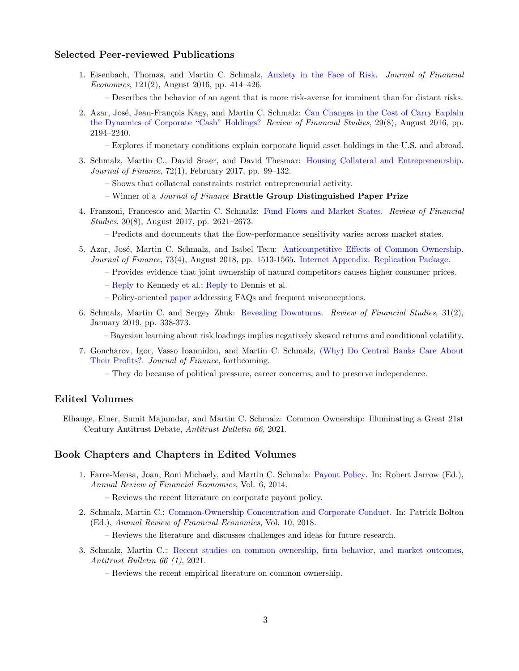#### Selected Peer-reviewed Publications

- 1. Eisenbach, Thomas, and Martin C. Schmalz, [Anxiety in the Face of Risk.](http://www.sciencedirect.com/science/article/pii/S0304405X16300782) Journal of Financial Economics, 121(2), August 2016, pp. 414–426.
	- Describes the behavior of an agent that is more risk-averse for imminent than for distant risks.
- 2. Azar, José, Jean-François Kagy, and Martin C. Schmalz: [Can Changes in the Cost of Carry Explain](http://rfs.oxfordjournals.org/content/early/2016/04/06/rfs.hhw021.abstract?keytype=ref&ijkey=jNGj1mwSzNlwM3T) [the Dynamics of Corporate "Cash" Holdings?](http://rfs.oxfordjournals.org/content/early/2016/04/06/rfs.hhw021.abstract?keytype=ref&ijkey=jNGj1mwSzNlwM3T) Review of Financial Studies, 29(8), August 2016, pp. 2194–2240.
	- Explores if monetary conditions explain corporate liquid asset holdings in the U.S. and abroad.
- 3. Schmalz, Martin C., David Sraer, and David Thesmar: [Housing Collateral and Entrepreneurship.](http://onlinelibrary.wiley.com/doi/10.1111/jofi.12468/full) Journal of Finance, 72(1), February 2017, pp. 99–132.
	- Shows that collateral constraints restrict entrepreneurial activity.
	- Winner of a Journal of Finance Brattle Group Distinguished Paper Prize
- 4. Franzoni, Francesco and Martin C. Schmalz: [Fund Flows and Market States.](https://academic.oup.com/rfs/article/30/8/2621/3001031/Fund-Flows-and-Market-States) Review of Financial Studies, 30(8), August 2017, pp. 2621–2673.
	- Predicts and documents that the flow-performance sensitivity varies across market states.
- 5. Azar, José, Martin C. Schmalz, and Isabel Tecu: [Anticompetitive Effects of Common Ownership.](https://onlinelibrary.wiley.com/doi/epdf/10.1111/jofi.12698) Journal of Finance, 73(4), August 2018, pp. 1513-1565. [Internet Appendix.](http://ssrn.com/abstract=3176479) [Replication Package.](https://onlinelibrary.wiley.com/action/downloadSupplement?doi=10.1111%2Fjofi.12698&file=ReplicationPackage.zip)
	- Provides evidence that joint ownership of natural competitors causes higher consumer prices.
	- [Reply](https://ssrn.com/abstract=3044908) to Kennedy et al.; [Reply](http://ssrn.com/abstract=3168095) to Dennis et al.
	- Policy-oriented [paper](http://ssrn.com/abstract=3176696) addressing FAQs and frequent misconceptions.
- 6. Schmalz, Martin C. and Sergey Zhuk: [Revealing Downturns.](https://doi.org/10.1093/rfs/hhy057) Review of Financial Studies, 31(2), January 2019, pp. 338-373.

– Bayesian learning about risk loadings implies negatively skewed returns and conditional volatility.

- 7. Goncharov, Igor, Vasso Ioannidou, and Martin C. Schmalz, [\(Why\) Do Central Banks Care About](http://ssrn.com/abstract=2979887) [Their Profits?.](http://ssrn.com/abstract=2979887) Journal of Finance, forthcoming.
	- They do because of political pressure, career concerns, and to preserve independence.

#### Edited Volumes

Elhauge, Einer, Sumit Majumdar, and Martin C. Schmalz: Common Ownership: Illuminating a Great 21st Century Antitrust Debate, Antitrust Bulletin 66, 2021.

#### Book Chapters and Chapters in Edited Volumes

- 1. Farre-Mensa, Joan, Roni Michaely, and Martin C. Schmalz: [Payout Policy.](http://www.annualreviews.org/doi/pdf/10.1146/annurev-financial-110613-034259) In: Robert Jarrow (Ed.), Annual Review of Financial Economics, Vol. 6, 2014.
	- Reviews the recent literature on corporate payout policy.
- 2. Schmalz, Martin C.: [Common-Ownership Concentration and Corporate Conduct.](https://www.annualreviews.org/doi/full/10.1146/annurev-financial-110217-022747) In: Patrick Bolton (Ed.), Annual Review of Financial Economics, Vol. 10, 2018.

– Reviews the literature and discusses challenges and ideas for future research.

- 3. Schmalz, Martin C.: [Recent studies on common ownership, firm behavior, and market outcomes,](https://papers.ssrn.com/sol3/papers.cfm?abstract_id=3725305) Antitrust Bulletin 66 (1), 2021.
	- Reviews the recent empirical literature on common ownership.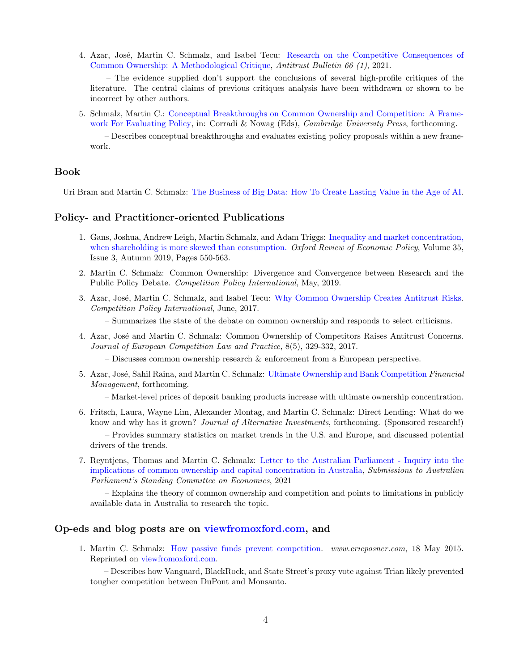4. Azar, José, Martin C. Schmalz, and Isabel Tecu: [Research on the Competitive Consequences of](https://papers.ssrn.com/sol3/papers.cfm?abstract_id=3725311) [Common Ownership: A Methodological Critique,](https://papers.ssrn.com/sol3/papers.cfm?abstract_id=3725311) Antitrust Bulletin 66 (1), 2021.

– The evidence supplied don't support the conclusions of several high-profile critiques of the literature. The central claims of previous critiques analysis have been withdrawn or shown to be incorrect by other authors.

5. Schmalz, Martin C.: [Conceptual Breakthroughs on Common Ownership and Competition: A Frame](https://papers.ssrn.com/sol3/papers.cfm?abstract_id=4032943)[work For Evaluating Policy,](https://papers.ssrn.com/sol3/papers.cfm?abstract_id=4032943) in: Corradi & Nowag (Eds), Cambridge University Press, forthcoming.

– Describes conceptual breakthroughs and evaluates existing policy proposals within a new framework.

# Book

Uri Bram and Martin C. Schmalz: [The Business of Big Data: How To Create Lasting Value in the Age of AI.](https://buttondown.email/bigdata)

#### Policy- and Practitioner-oriented Publications

- 1. Gans, Joshua, Andrew Leigh, Martin Schmalz, and Adam Triggs: [Inequality and market concentration,](https://academic.oup.com/oxrep/article-abstract/35/3/550/5531390) [when shareholding is more skewed than consumption.](https://academic.oup.com/oxrep/article-abstract/35/3/550/5531390) Oxford Review of Economic Policy, Volume 35, Issue 3, Autumn 2019, Pages 550-563.
- 2. Martin C. Schmalz: Common Ownership: Divergence and Convergence between Research and the Public Policy Debate. Competition Policy International, May, 2019.
- 3. Azar, José, Martin C. Schmalz, and Isabel Tecu: [Why Common Ownership Creates Antitrust Risks.](http://ssrn.com/abstract=2988778) Competition Policy International, June, 2017.
	- Summarizes the state of the debate on common ownership and responds to select criticisms.
- 4. Azar, Jos´e and Martin C. Schmalz: Common Ownership of Competitors Raises Antitrust Concerns. Journal of European Competition Law and Practice, 8(5), 329-332, 2017.
	- Discusses common ownership research & enforcement from a European perspective.
- 5. Azar, José, Sahil Raina, and Martin C. Schmalz: [Ultimate Ownership and Bank Competition](http://papers.ssrn.com/sol3/papers.cfm?abstract_id=2710252) Financial Management, forthcoming.

– Market-level prices of deposit banking products increase with ultimate ownership concentration.

- 6. Fritsch, Laura, Wayne Lim, Alexander Montag, and Martin C. Schmalz: Direct Lending: What do we know and why has it grown? *Journal of Alternative Investments*, forthcoming. (Sponsored research!) – Provides summary statistics on market trends in the U.S. and Europe, and discussed potential drivers of the trends.
- 7. Reyntjens, Thomas and Martin C. Schmalz: [Letter to the Australian Parliament Inquiry into the](https://papers.ssrn.com/sol3/papers.cfm?abstract_id=3926304) [implications of common ownership and capital concentration in Australia,](https://papers.ssrn.com/sol3/papers.cfm?abstract_id=3926304) Submissions to Australian Parliament's Standing Committee on Economics, 2021

– Explains the theory of common ownership and competition and points to limitations in publicly available data in Australia to research the topic.

## Op-eds and blog posts are on [viewfromoxford.com,](viewfromoxford.com) and

1. Martin C. Schmalz: [How passive funds prevent competition.](http://www.ericposner.com/martin-schmalz-how-passive-funds-prevent-competition) www.ericposner.com, 18 May 2015. Reprinted on [viewfromoxford.com.](viewfromoxford.com)

– Describes how Vanguard, BlackRock, and State Street's proxy vote against Trian likely prevented tougher competition between DuPont and Monsanto.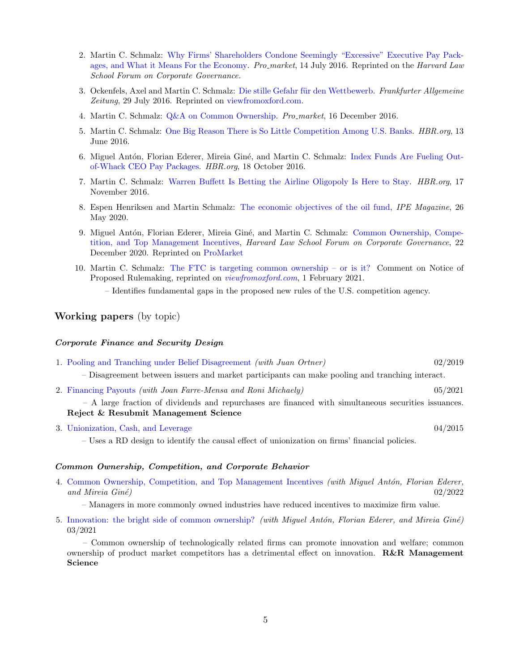- 2. Martin C. Schmalz: [Why Firms' Shareholders Condone Seemingly "Excessive" Executive Pay Pack](https://corpgov.law.harvard.edu/2016/07/14/why-do-shareholders-condone-seemingly-excessive-executive-pay/)[ages, and What it Means For the Economy.](https://corpgov.law.harvard.edu/2016/07/14/why-do-shareholders-condone-seemingly-excessive-executive-pay/) Pro-market, 14 July 2016. Reprinted on the Harvard Law School Forum on Corporate Governance.
- 3. Ockenfels, Axel and Martin C. Schmalz: Die stille Gefahr für den Wettbewerb. Frankfurter Allgemeine Zeitung, 29 July 2016. Reprinted on [viewfromoxford.com.](viewfromoxford.com)
- 4. Martin C. Schmalz: [Q&A on Common Ownership.](https://promarket.org/threats-competition-common-ownership-asset-managers-qa-martin-schmalz/ ) Pro market, 16 December 2016.
- 5. Martin C. Schmalz: [One Big Reason There is So Little Competition Among U.S. Banks.](https://hbr.org/2016/06/one-big-reason-theres-so-little-competition-among-u-s-banks) HBR.org, 13 June 2016.
- 6. Miguel Antón, Florian Ederer, Mireia Giné, and Martin C. Schmalz: [Index Funds Are Fueling Out](https://hbr.org/2016/10/research-index-funds-are-fueling-out-of-whack-ceo-pay-packages)[of-Whack CEO Pay Packages.](https://hbr.org/2016/10/research-index-funds-are-fueling-out-of-whack-ceo-pay-packages) HBR.org, 18 October 2016.
- 7. Martin C. Schmalz: [Warren Buffett Is Betting the Airline Oligopoly Is Here to Stay.](https://hbr.org/2016/11/warren-buffett-is-betting-the-airline-oligopoly-is-here-to-stay) HBR.org, 17 November 2016.
- 8. Espen Henriksen and Martin Schmalz: [The economic objectives of the oil fund,](https://www.ipe.com/viewpoint-the-economic-objectives-of-the-oil-fund/10045813.article) IPE Magazine, 26 May 2020.
- 9. Miguel Antón, Florian Ederer, Mireia Giné, and Martin C. Schmalz: [Common Ownership, Compe](https://corpgov.law.harvard.edu/2020/12/22/common-ownership-competition-and-top-management-incentives/)[tition, and Top Management Incentives,](https://corpgov.law.harvard.edu/2020/12/22/common-ownership-competition-and-top-management-incentives/) Harvard Law School Forum on Corporate Governance, 22 December 2020. Reprinted on [ProMarket](https://promarket.org/2021/01/06/conflict-better-corporate-governance-competitive-product-markets/)
- 10. Martin C. Schmalz: [The FTC is targeting common ownership or is it?](https://viewfromoxford.com/the-u-s-ftc-is-targeting-common-ownership-or-is-it/) Comment on Notice of Proposed Rulemaking, reprinted on [viewfromoxford.com](https://viewfromoxford.com/the-u-s-ftc-is-targeting-common-ownership-or-is-it/), 1 February 2021.

– Identifies fundamental gaps in the proposed new rules of the U.S. competition agency.

# Working papers (by topic)

#### Corporate Finance and Security Design

- 1. [Pooling and Tranching under Belief Disagreement](http://papers.ssrn.com/sol3/papers.cfm?abstract_id=2614259) (with Juan Ortner) 02/2019 – Disagreement between issuers and market participants can make pooling and tranching interact.
- 2. [Financing Payouts](http://ssrn.com/abstract=2535919) (with Joan Farre-Mensa and Roni Michaely) 05/2021

– A large fraction of dividends and repurchases are financed with simultaneous securities issuances. Reject & Resubmit Management Science

3. [Unionization, Cash, and Leverage](http://papers.ssrn.com/sol3/papers.cfm?abstract_id=2254025) 04/2015

– Uses a RD design to identify the causal effect of unionization on firms' financial policies.

#### Common Ownership, Competition, and Corporate Behavior

4. [Common Ownership, Competition, and Top Management Incentives](http://papers.ssrn.com/sol3/papers.cfm?abstract_id=2802332) (with Miguel Antón, Florian Ederer, and Mireia  $Gin\acute{e}$ ) 02/2022

– Managers in more commonly owned industries have reduced incentives to maximize firm value.

5. [Innovation: the bright side of common ownership?](http://ssrn.com/abstract=3099578) (with Miguel Antón, Florian Ederer, and Mireia Giné) 03/2021

– Common ownership of technologically related firms can promote innovation and welfare; common ownership of product market competitors has a detrimental effect on innovation. R&R Management Science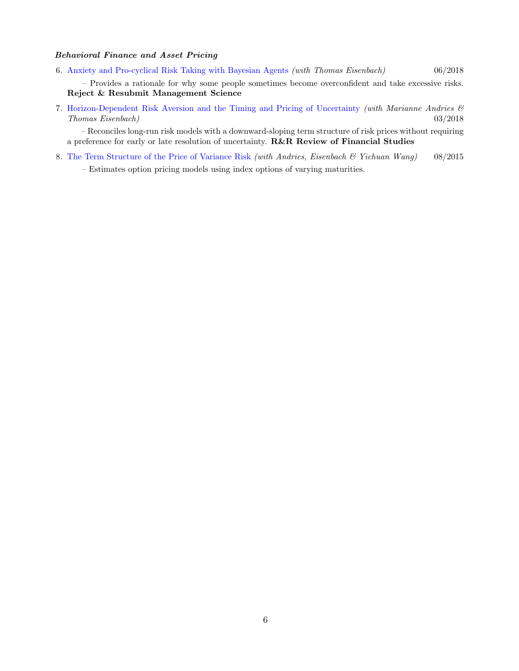### Behavioral Finance and Asset Pricing

6. [Anxiety and Pro-cyclical Risk Taking with Bayesian Agents](https://papers.ssrn.com/sol3/papers.cfm?abstract_id=2566464) (with Thomas Eisenbach) 06/2018

– Provides a rationale for why some people sometimes become overconfident and take excessive risks. Reject & Resubmit Management Science

7. [Horizon-Dependent Risk Aversion and the Timing and Pricing of Uncertainty](http://ssrn.com/abstract=2535675) (with Marianne Andries & Thomas Eisenbach) 03/2018

– Reconciles long-run risk models with a downward-sloping term structure of risk prices without requiring a preference for early or late resolution of uncertainty. R&R Review of Financial Studies

8. [The Term Structure of the Price of Variance Risk](http://papers.ssrn.com/sol3/papers.cfm?abstract_id=2640193) (with Andries, Eisenbach & Yichuan Wang) 08/2015

– Estimates option pricing models using index options of varying maturities.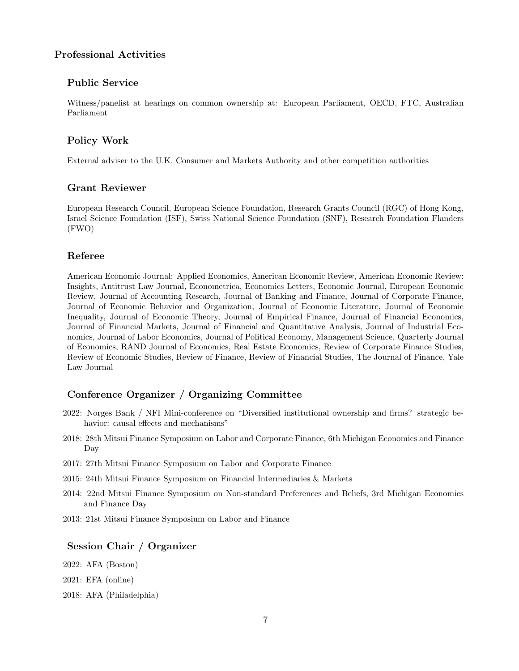# Professional Activities

## Public Service

Witness/panelist at hearings on common ownership at: European Parliament, OECD, FTC, Australian Parliament

## Policy Work

External adviser to the U.K. Consumer and Markets Authority and other competition authorities

### Grant Reviewer

European Research Council, European Science Foundation, Research Grants Council (RGC) of Hong Kong, Israel Science Foundation (ISF), Swiss National Science Foundation (SNF), Research Foundation Flanders (FWO)

## Referee

American Economic Journal: Applied Economics, American Economic Review, American Economic Review: Insights, Antitrust Law Journal, Econometrica, Economics Letters, Economic Journal, European Economic Review, Journal of Accounting Research, Journal of Banking and Finance, Journal of Corporate Finance, Journal of Economic Behavior and Organization, Journal of Economic Literature, Journal of Economic Inequality, Journal of Economic Theory, Journal of Empirical Finance, Journal of Financial Economics, Journal of Financial Markets, Journal of Financial and Quantitative Analysis, Journal of Industrial Economics, Journal of Labor Economics, Journal of Political Economy, Management Science, Quarterly Journal of Economics, RAND Journal of Economics, Real Estate Economics, Review of Corporate Finance Studies, Review of Economic Studies, Review of Finance, Review of Financial Studies, The Journal of Finance, Yale Law Journal

## Conference Organizer / Organizing Committee

- 2022: Norges Bank / NFI Mini-conference on "Diversified institutional ownership and firms? strategic behavior: causal effects and mechanisms"
- 2018: 28th Mitsui Finance Symposium on Labor and Corporate Finance, 6th Michigan Economics and Finance Day
- 2017: 27th Mitsui Finance Symposium on Labor and Corporate Finance
- 2015: 24th Mitsui Finance Symposium on Financial Intermediaries & Markets
- 2014: 22nd Mitsui Finance Symposium on Non-standard Preferences and Beliefs, 3rd Michigan Economics and Finance Day
- 2013: 21st Mitsui Finance Symposium on Labor and Finance

# Session Chair / Organizer

- 2022: AFA (Boston)
- 2021: EFA (online)
- 2018: AFA (Philadelphia)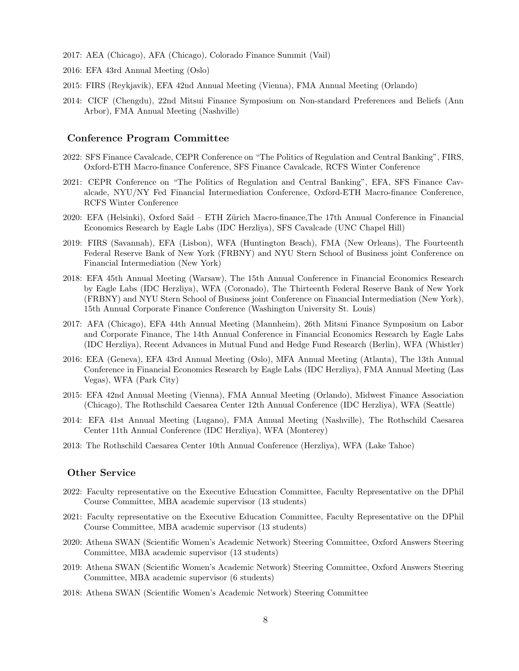- 2017: AEA (Chicago), AFA (Chicago), Colorado Finance Summit (Vail)
- 2016: EFA 43rd Annual Meeting (Oslo)
- 2015: FIRS (Reykjavik), EFA 42nd Annual Meeting (Vienna), FMA Annual Meeting (Orlando)
- 2014: CICF (Chengdu), 22nd Mitsui Finance Symposium on Non-standard Preferences and Beliefs (Ann Arbor), FMA Annual Meeting (Nashville)

#### Conference Program Committee

- 2022: SFS Finance Cavalcade, CEPR Conference on "The Politics of Regulation and Central Banking", FIRS, Oxford-ETH Macro-finance Conference, SFS Finance Cavalcade, RCFS Winter Conference
- 2021: CEPR Conference on "The Politics of Regulation and Central Banking", EFA, SFS Finance Cavalcade, NYU/NY Fed Financial Intermediation Conference, Oxford-ETH Macro-finance Conference, RCFS Winter Conference
- 2020: EFA (Helsinki), Oxford Saïd ETH Zürich Macro-finance, The 17th Annual Conference in Financial Economics Research by Eagle Labs (IDC Herzliya), SFS Cavalcade (UNC Chapel Hill)
- 2019: FIRS (Savannah), EFA (Lisbon), WFA (Huntington Beach), FMA (New Orleans), The Fourteenth Federal Reserve Bank of New York (FRBNY) and NYU Stern School of Business joint Conference on Financial Intermediation (New York)
- 2018: EFA 45th Annual Meeting (Warsaw), The 15th Annual Conference in Financial Economics Research by Eagle Labs (IDC Herzliya), WFA (Coronado), The Thirteenth Federal Reserve Bank of New York (FRBNY) and NYU Stern School of Business joint Conference on Financial Intermediation (New York), 15th Annual Corporate Finance Conference (Washington University St. Louis)
- 2017: AFA (Chicago), EFA 44th Annual Meeting (Mannheim), 26th Mitsui Finance Symposium on Labor and Corporate Finance, The 14th Annual Conference in Financial Economics Research by Eagle Labs (IDC Herzliya), Recent Advances in Mutual Fund and Hedge Fund Research (Berlin), WFA (Whistler)
- 2016: EEA (Geneva), EFA 43rd Annual Meeting (Oslo), MFA Annual Meeting (Atlanta), The 13th Annual Conference in Financial Economics Research by Eagle Labs (IDC Herzliya), FMA Annual Meeting (Las Vegas), WFA (Park City)
- 2015: EFA 42nd Annual Meeting (Vienna), FMA Annual Meeting (Orlando), Midwest Finance Association (Chicago), The Rothschild Caesarea Center 12th Annual Conference (IDC Herzliya), WFA (Seattle)
- 2014: EFA 41st Annual Meeting (Lugano), FMA Annual Meeting (Nashville), The Rothschild Caesarea Center 11th Annual Conference (IDC Herzliya), WFA (Monterey)
- 2013: The Rothschild Caesarea Center 10th Annual Conference (Herzliya), WFA (Lake Tahoe)

### Other Service

- 2022: Faculty representative on the Executive Education Committee, Faculty Representative on the DPhil Course Committee, MBA academic supervisor (13 students)
- 2021: Faculty representative on the Executive Education Committee, Faculty Representative on the DPhil Course Committee, MBA academic supervisor (13 students)
- 2020: Athena SWAN (Scientific Women's Academic Network) Steering Committee, Oxford Answers Steering Committee, MBA academic supervisor (13 students)
- 2019: Athena SWAN (Scientific Women's Academic Network) Steering Committee, Oxford Answers Steering Committee, MBA academic supervisor (6 students)
- 2018: Athena SWAN (Scientific Women's Academic Network) Steering Committee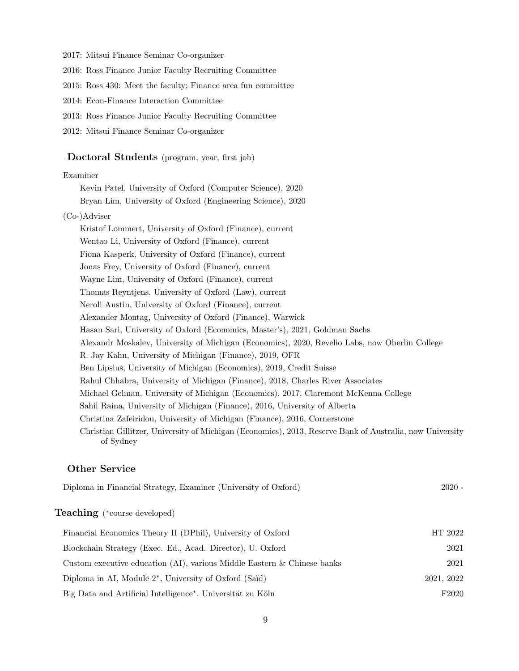2017: Mitsui Finance Seminar Co-organizer

2016: Ross Finance Junior Faculty Recruiting Committee

- 2015: Ross 430: Meet the faculty; Finance area fun committee
- 2014: Econ-Finance Interaction Committee
- 2013: Ross Finance Junior Faculty Recruiting Committee
- 2012: Mitsui Finance Seminar Co-organizer

# Doctoral Students (program, year, first job)

#### Examiner

Kevin Patel, University of Oxford (Computer Science), 2020 Bryan Lim, University of Oxford (Engineering Science), 2020

#### (Co-)Adviser

Kristof Lommert, University of Oxford (Finance), current Wentao Li, University of Oxford (Finance), current Fiona Kasperk, University of Oxford (Finance), current Jonas Frey, University of Oxford (Finance), current Wayne Lim, University of Oxford (Finance), current Thomas Reyntjens, University of Oxford (Law), current Neroli Austin, University of Oxford (Finance), current Alexander Montag, University of Oxford (Finance), Warwick Hasan Sari, University of Oxford (Economics, Master's), 2021, Goldman Sachs Alexandr Moskalev, University of Michigan (Economics), 2020, Revelio Labs, now Oberlin College R. Jay Kahn, University of Michigan (Finance), 2019, OFR Ben Lipsius, University of Michigan (Economics), 2019, Credit Suisse Rahul Chhabra, University of Michigan (Finance), 2018, Charles River Associates Michael Gelman, University of Michigan (Economics), 2017, Claremont McKenna College Sahil Raina, University of Michigan (Finance), 2016, University of Alberta Christina Zafeiridou, University of Michigan (Finance), 2016, Cornerstone Christian Gillitzer, University of Michigan (Economics), 2013, Reserve Bank of Australia, now University of Sydney

## Other Service

| <b>Teaching</b> (*course developed)<br>Financial Economics Theory II (DPhil), University of Oxford<br>Blockchain Strategy (Exec. Ed., Acad. Director), U. Oxford<br>Custom executive education (AI), various Middle Eastern $\&$ Chinese banks<br>Diploma in AI, Module $2^*$ , University of Oxford (Saïd)<br>Big Data and Artificial Intelligence <sup>*</sup> , Universität zu Köln | Diploma in Financial Strategy, Examiner (University of Oxford) | $2020 -$          |
|----------------------------------------------------------------------------------------------------------------------------------------------------------------------------------------------------------------------------------------------------------------------------------------------------------------------------------------------------------------------------------------|----------------------------------------------------------------|-------------------|
|                                                                                                                                                                                                                                                                                                                                                                                        |                                                                |                   |
|                                                                                                                                                                                                                                                                                                                                                                                        |                                                                | HT 2022           |
|                                                                                                                                                                                                                                                                                                                                                                                        |                                                                | 2021              |
|                                                                                                                                                                                                                                                                                                                                                                                        |                                                                | 2021              |
|                                                                                                                                                                                                                                                                                                                                                                                        |                                                                | 2021, 2022        |
|                                                                                                                                                                                                                                                                                                                                                                                        |                                                                | F <sub>2020</sub> |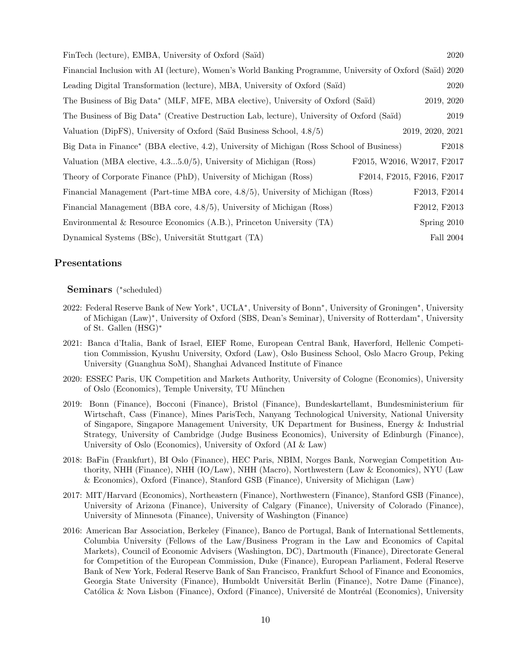| FinTech (lecture), EMBA, University of Oxford (Saïd)                                                     | 2020                       |
|----------------------------------------------------------------------------------------------------------|----------------------------|
| Financial Inclusion with AI (lecture), Women's World Banking Programme, University of Oxford (Saïd) 2020 |                            |
| Leading Digital Transformation (lecture), MBA, University of Oxford (Saïd)                               | 2020                       |
| The Business of Big Data* (MLF, MFE, MBA elective), University of Oxford (Saïd)                          | 2019, 2020                 |
| The Business of Big Data* (Creative Destruction Lab, lecture), University of Oxford (Saïd)               | 2019                       |
| Valuation (DipFS), University of Oxford (Saïd Business School, 4.8/5)                                    | 2019, 2020, 2021           |
| Big Data in Finance* (BBA elective, 4.2), University of Michigan (Ross School of Business)               | F2018                      |
| Valuation (MBA elective, $4.35.0/5$ ), University of Michigan (Ross)                                     | F2015, W2016, W2017, F2017 |
| Theory of Corporate Finance (PhD), University of Michigan (Ross)                                         | F2014, F2015, F2016, F2017 |
| Financial Management (Part-time MBA core, 4.8/5), University of Michigan (Ross)                          | F2013, F2014               |
| Financial Management (BBA core, 4.8/5), University of Michigan (Ross)                                    | F2012, F2013               |
| Environmental & Resource Economics $(A.B.)$ , Princeton University $(TA)$                                | Spring 2010                |
| Dynamical Systems (BSc), Universität Stuttgart (TA)                                                      | Fall 2004                  |

### Presentations

# Seminars (\*scheduled)

- 2022: Federal Reserve Bank of New York<sup>∗</sup> , UCLA<sup>∗</sup> , University of Bonn<sup>∗</sup> , University of Groningen<sup>∗</sup> , University of Michigan (Law)<sup>∗</sup> , University of Oxford (SBS, Dean's Seminar), University of Rotterdam<sup>∗</sup> , University of St. Gallen (HSG)<sup>∗</sup>
- 2021: Banca d'Italia, Bank of Israel, EIEF Rome, European Central Bank, Haverford, Hellenic Competition Commission, Kyushu University, Oxford (Law), Oslo Business School, Oslo Macro Group, Peking University (Guanghua SoM), Shanghai Advanced Institute of Finance
- 2020: ESSEC Paris, UK Competition and Markets Authority, University of Cologne (Economics), University of Oslo (Economics), Temple University, TU München
- 2019: Bonn (Finance), Bocconi (Finance), Bristol (Finance), Bundeskartellamt, Bundesministerium für Wirtschaft, Cass (Finance), Mines ParisTech, Nanyang Technological University, National University of Singapore, Singapore Management University, UK Department for Business, Energy & Industrial Strategy, University of Cambridge (Judge Business Economics), University of Edinburgh (Finance), University of Oslo (Economics), University of Oxford (AI & Law)
- 2018: BaFin (Frankfurt), BI Oslo (Finance), HEC Paris, NBIM, Norges Bank, Norwegian Competition Authority, NHH (Finance), NHH (IO/Law), NHH (Macro), Northwestern (Law & Economics), NYU (Law & Economics), Oxford (Finance), Stanford GSB (Finance), University of Michigan (Law)
- 2017: MIT/Harvard (Economics), Northeastern (Finance), Northwestern (Finance), Stanford GSB (Finance), University of Arizona (Finance), University of Calgary (Finance), University of Colorado (Finance), University of Minnesota (Finance), University of Washington (Finance)
- 2016: American Bar Association, Berkeley (Finance), Banco de Portugal, Bank of International Settlements, Columbia University (Fellows of the Law/Business Program in the Law and Economics of Capital Markets), Council of Economic Advisers (Washington, DC), Dartmouth (Finance), Directorate General for Competition of the European Commission, Duke (Finance), European Parliament, Federal Reserve Bank of New York, Federal Reserve Bank of San Francisco, Frankfurt School of Finance and Economics, Georgia State University (Finance), Humboldt Universität Berlin (Finance), Notre Dame (Finance), Católica & Nova Lisbon (Finance), Oxford (Finance), Université de Montréal (Economics), University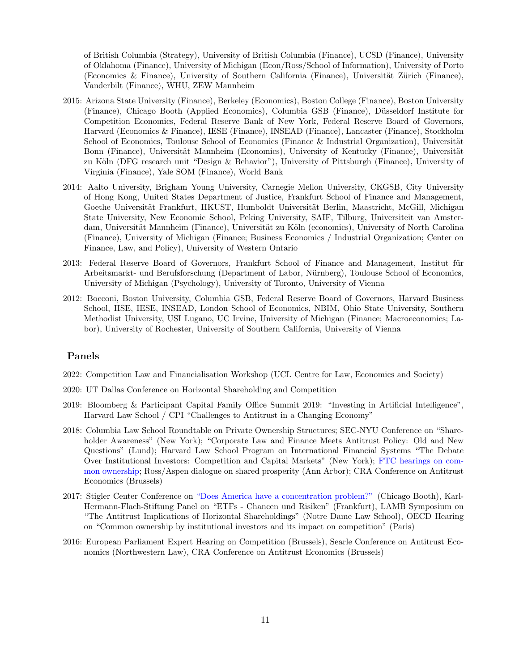of British Columbia (Strategy), University of British Columbia (Finance), UCSD (Finance), University of Oklahoma (Finance), University of Michigan (Econ/Ross/School of Information), University of Porto (Economics & Finance), University of Southern California (Finance), Universität Zürich (Finance), Vanderbilt (Finance), WHU, ZEW Mannheim

- 2015: Arizona State University (Finance), Berkeley (Economics), Boston College (Finance), Boston University (Finance), Chicago Booth (Applied Economics), Columbia GSB (Finance), Düsseldorf Institute for Competition Economics, Federal Reserve Bank of New York, Federal Reserve Board of Governors, Harvard (Economics & Finance), IESE (Finance), INSEAD (Finance), Lancaster (Finance), Stockholm School of Economics, Toulouse School of Economics (Finance & Industrial Organization), Universität Bonn (Finance), Universität Mannheim (Economics), University of Kentucky (Finance), Universität zu Köln (DFG research unit "Design & Behavior"), University of Pittsburgh (Finance), University of Virginia (Finance), Yale SOM (Finance), World Bank
- 2014: Aalto University, Brigham Young University, Carnegie Mellon University, CKGSB, City University of Hong Kong, United States Department of Justice, Frankfurt School of Finance and Management, Goethe Universität Frankfurt, HKUST, Humboldt Universität Berlin, Maastricht, McGill, Michigan State University, New Economic School, Peking University, SAIF, Tilburg, Universiteit van Amsterdam, Universität Mannheim (Finance), Universität zu Köln (economics), University of North Carolina (Finance), University of Michigan (Finance; Business Economics / Industrial Organization; Center on Finance, Law, and Policy), University of Western Ontario
- 2013: Federal Reserve Board of Governors, Frankfurt School of Finance and Management, Institut für Arbeitsmarkt- und Berufsforschung (Department of Labor, Nürnberg), Toulouse School of Economics, University of Michigan (Psychology), University of Toronto, University of Vienna
- 2012: Bocconi, Boston University, Columbia GSB, Federal Reserve Board of Governors, Harvard Business School, HSE, IESE, INSEAD, London School of Economics, NBIM, Ohio State University, Southern Methodist University, USI Lugano, UC Irvine, University of Michigan (Finance; Macroeconomics; Labor), University of Rochester, University of Southern California, University of Vienna

### Panels

- 2022: Competition Law and Financialisation Workshop (UCL Centre for Law, Economics and Society)
- 2020: UT Dallas Conference on Horizontal Shareholding and Competition
- 2019: Bloomberg & Participant Capital Family Office Summit 2019: "Investing in Artificial Intelligence", Harvard Law School / CPI "Challenges to Antitrust in a Changing Economy"
- 2018: Columbia Law School Roundtable on Private Ownership Structures; SEC-NYU Conference on "Shareholder Awareness" (New York); "Corporate Law and Finance Meets Antitrust Policy: Old and New Questions" (Lund); Harvard Law School Program on International Financial Systems "The Debate Over Institutional Investors: Competition and Capital Markets" (New York); [FTC hearings on com](https://www.ftc.gov/news-events/press-releases/2018/11/ftc-announces-agenda-eighth-session-its-hearings-competition)[mon ownership;](https://www.ftc.gov/news-events/press-releases/2018/11/ftc-announces-agenda-eighth-session-its-hearings-competition) Ross/Aspen dialogue on shared prosperity (Ann Arbor); CRA Conference on Antitrust Economics (Brussels)
- 2017: Stigler Center Conference on ["Does America have a concentration problem?"](https://research.chicagobooth.edu/stigler/events/single-events/march-27-2017) (Chicago Booth), Karl-Hermann-Flach-Stiftung Panel on "ETFs - Chancen und Risiken" (Frankfurt), LAMB Symposium on "The Antitrust Implications of Horizontal Shareholdings" (Notre Dame Law School), OECD Hearing on "Common ownership by institutional investors and its impact on competition" (Paris)
- 2016: European Parliament Expert Hearing on Competition (Brussels), Searle Conference on Antitrust Economics (Northwestern Law), CRA Conference on Antitrust Economics (Brussels)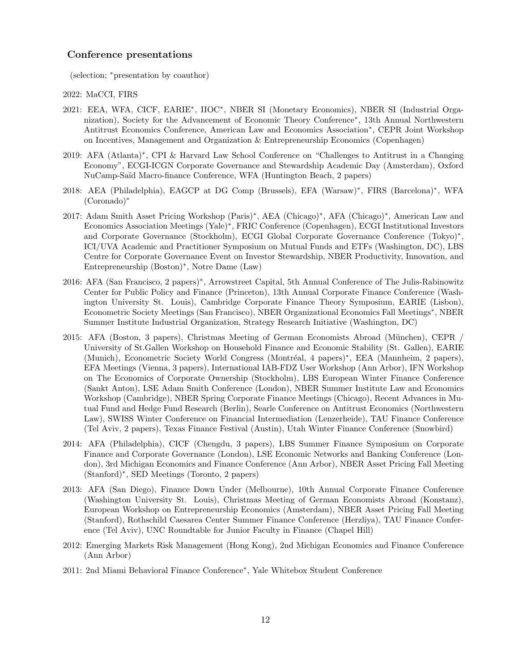### Conference presentations

(selection; <sup>∗</sup>presentation by coauthor)

2022: MaCCI, FIRS

- 2021: EEA, WFA, CICF, EARIE<sup>∗</sup> , IIOC<sup>∗</sup> , NBER SI (Monetary Economics), NBER SI (Industrial Organization), Society for the Advancement of Economic Theory Conference<sup>∗</sup> , 13th Annual Northwestern Antitrust Economics Conference, American Law and Economics Association<sup>∗</sup> , CEPR Joint Workshop on Incentives, Management and Organization & Entrepreneurship Economics (Copenhagen)
- 2019: AFA (Atlanta)<sup>\*</sup>, CPI & Harvard Law School Conference on "Challenges to Antitrust in a Changing Economy", ECGI-ICGN Corporate Governance and Stewardship Academic Day (Amsterdam), Oxford NuCamp-Sa¨ıd Macro-finance Conference, WFA (Huntington Beach, 2 papers)
- 2018: AEA (Philadelphia), EAGCP at DG Comp (Brussels), EFA (Warsaw)<sup>∗</sup> , FIRS (Barcelona)<sup>∗</sup> , WFA (Coronado)<sup>∗</sup>
- 2017: Adam Smith Asset Pricing Workshop (Paris)<sup>∗</sup> , AEA (Chicago)<sup>∗</sup> , AFA (Chicago)<sup>∗</sup> , American Law and Economics Association Meetings (Yale)<sup>∗</sup> , FRIC Conference (Copenhagen), ECGI Institutional Investors and Corporate Governance (Stockholm), ECGI Global Corporate Governance Conference (Tokyo)<sup>∗</sup> , ICI/UVA Academic and Practitioner Symposium on Mutual Funds and ETFs (Washington, DC), LBS Centre for Corporate Governance Event on Investor Stewardship, NBER Productivity, Innovation, and Entrepreneurship (Boston)<sup>∗</sup> , Notre Dame (Law)
- 2016: AFA (San Francisco, 2 papers)<sup>∗</sup> , Arrowstreet Capital, 5th Annual Conference of The Julis-Rabinowitz Center for Public Policy and Finance (Princeton), 13th Annual Corporate Finance Conference (Washington University St. Louis), Cambridge Corporate Finance Theory Symposium, EARIE (Lisbon), Econometric Society Meetings (San Francisco), NBER Organizational Economics Fall Meetings<sup>∗</sup> , NBER Summer Institute Industrial Organization, Strategy Research Initiative (Washington, DC)
- 2015: AFA (Boston, 3 papers), Christmas Meeting of German Economists Abroad (München), CEPR / University of St.Gallen Workshop on Household Finance and Economic Stability (St. Gallen), EARIE (Munich), Econometric Society World Congress (Montréal, 4 papers)<sup>∗</sup>, EEA (Mannheim, 2 papers), EFA Meetings (Vienna, 3 papers), International IAB-FDZ User Workshop (Ann Arbor), IFN Workshop on The Economics of Corporate Ownership (Stockholm), LBS European Winter Finance Conference (Sankt Anton), LSE Adam Smith Conference (London), NBER Summer Institute Law and Economics Workshop (Cambridge), NBER Spring Corporate Finance Meetings (Chicago), Recent Advances in Mutual Fund and Hedge Fund Research (Berlin), Searle Conference on Antitrust Economics (Northwestern Law), SWISS Winter Conference on Financial Intermediation (Lenzerheide), TAU Finance Conference (Tel Aviv, 2 papers), Texas Finance Festival (Austin), Utah Winter Finance Conference (Snowbird)
- 2014: AFA (Philadelphia), CICF (Chengdu, 3 papers), LBS Summer Finance Symposium on Corporate Finance and Corporate Governance (London), LSE Economic Networks and Banking Conference (London), 3rd Michigan Economics and Finance Conference (Ann Arbor), NBER Asset Pricing Fall Meeting (Stanford)<sup>∗</sup> , SED Meetings (Toronto, 2 papers)
- 2013: AFA (San Diego), Finance Down Under (Melbourne), 10th Annual Corporate Finance Conference (Washington University St. Louis), Christmas Meeting of German Economists Abroad (Konstanz), European Workshop on Entrepreneurship Economics (Amsterdam), NBER Asset Pricing Fall Meeting (Stanford), Rothschild Caesarea Center Summer Finance Conference (Herzliya), TAU Finance Conference (Tel Aviv), UNC Roundtable for Junior Faculty in Finance (Chapel Hill)
- 2012: Emerging Markets Risk Management (Hong Kong), 2nd Michigan Economics and Finance Conference (Ann Arbor)
- 2011: 2nd Miami Behavioral Finance Conference<sup>∗</sup> , Yale Whitebox Student Conference